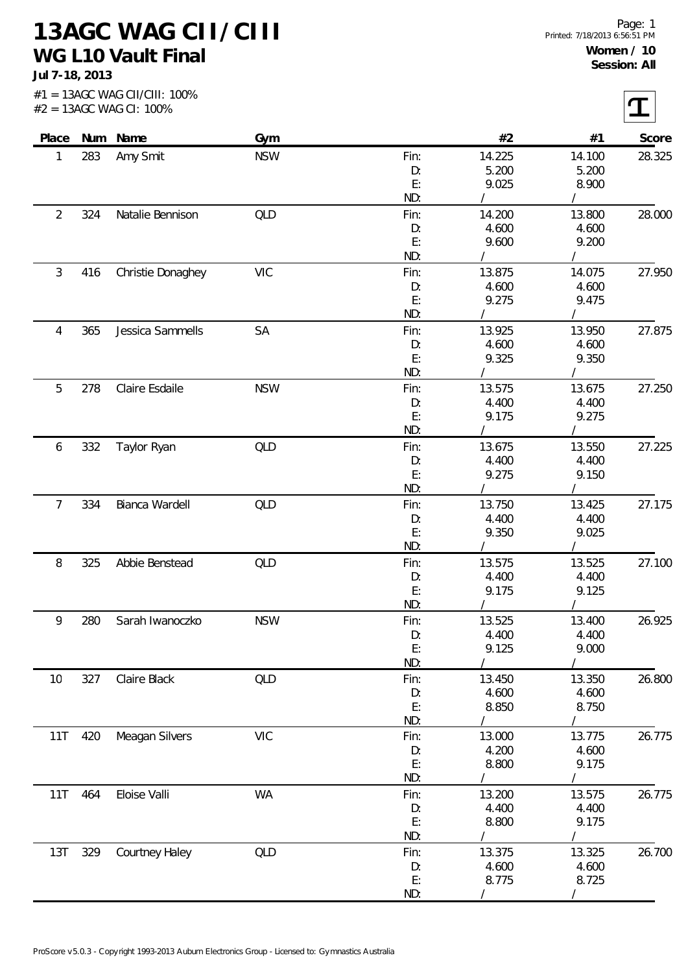**13AGC WAG CII/CIII WG L10 Vault Final**

**Jul 7-18, 2013**

|                |     | Place Num Name    | Gym        |            | #2             | #1              | Score  |
|----------------|-----|-------------------|------------|------------|----------------|-----------------|--------|
| 1              | 283 | Amy Smit          | <b>NSW</b> | Fin:       | 14.225         | 14.100          | 28.325 |
|                |     |                   |            | D:         | 5.200          | 5.200           |        |
|                |     |                   |            | E:         | 9.025          | 8.900           |        |
|                |     |                   |            | ND:        |                |                 |        |
| $\overline{2}$ | 324 | Natalie Bennison  | QLD        | Fin:       | 14.200         | 13.800          | 28.000 |
|                |     |                   |            | D:         | 4.600          | 4.600           |        |
|                |     |                   |            | E:         | 9.600          | 9.200           |        |
|                |     |                   |            | ND:        |                |                 |        |
| $\mathfrak{Z}$ | 416 | Christie Donaghey | <b>VIC</b> | Fin:       | 13.875         | 14.075          | 27.950 |
|                |     |                   |            | D:         | 4.600          | 4.600           |        |
|                |     |                   |            | E:         | 9.275          | 9.475           |        |
|                |     |                   |            | ND:        |                | $\sqrt{2}$      |        |
| 4              | 365 | Jessica Sammells  | <b>SA</b>  | Fin:       | 13.925         | 13.950          | 27.875 |
|                |     |                   |            | D:         | 4.600          | 4.600           |        |
|                |     |                   |            | E:         | 9.325          | 9.350           |        |
|                |     |                   |            | ND:        |                |                 |        |
| 5              | 278 | Claire Esdaile    | <b>NSW</b> | Fin:       | 13.575         | 13.675          | 27.250 |
|                |     |                   |            | D:         | 4.400          | 4.400           |        |
|                |     |                   |            | E:         | 9.175          | 9.275           |        |
|                |     |                   |            | ND:        |                |                 |        |
| 6              | 332 | Taylor Ryan       | QLD        | Fin:       | 13.675         | 13.550          | 27.225 |
|                |     |                   |            | D:         | 4.400          | 4.400           |        |
|                |     |                   |            | E:         | 9.275          | 9.150           |        |
|                |     |                   |            | ND:        |                |                 |        |
| $\overline{7}$ | 334 | Bianca Wardell    | QLD        | Fin:       | 13.750         | 13.425          | 27.175 |
|                |     |                   |            | D:         | 4.400          | 4.400           |        |
|                |     |                   |            | E:         | 9.350          | 9.025           |        |
|                |     |                   |            | ND:        |                |                 |        |
| 8              | 325 | Abbie Benstead    | QLD        | Fin:       | 13.575         | 13.525          | 27.100 |
|                |     |                   |            | D:         | 4.400          | 4.400           |        |
|                |     |                   |            | E:<br>ND:  | 9.175          | 9.125           |        |
|                |     |                   |            |            | $\sqrt{2}$     | $\sqrt{2}$      |        |
| 9              | 280 | Sarah Iwanoczko   | <b>NSW</b> | Fin:       | 13.525         | 13.400          | 26.925 |
|                |     |                   |            | D:<br>E:   | 4.400<br>9.125 | 4.400<br>9.000  |        |
|                |     |                   |            | ND:        |                |                 |        |
|                |     |                   | QLD        |            | 13.450         |                 | 26.800 |
| 10             | 327 | Claire Black      |            | Fin:<br>D: | 4.600          | 13.350<br>4.600 |        |
|                |     |                   |            | E:         | 8.850          | 8.750           |        |
|                |     |                   |            | ND:        |                |                 |        |
| 11T            | 420 | Meagan Silvers    | <b>VIC</b> | Fin:       | 13.000         | 13.775          | 26.775 |
|                |     |                   |            | D:         | 4.200          | 4.600           |        |
|                |     |                   |            | E:         | 8.800          | 9.175           |        |
|                |     |                   |            | ND:        |                |                 |        |
| 11T            | 464 | Eloise Valli      | <b>WA</b>  | Fin:       | 13.200         | 13.575          | 26.775 |
|                |     |                   |            | D:         | 4.400          | 4.400           |        |
|                |     |                   |            | E:         | 8.800          | 9.175           |        |
|                |     |                   |            | ND:        |                |                 |        |
| 13T            | 329 | Courtney Haley    | QLD        | Fin:       | 13.375         | 13.325          | 26.700 |
|                |     |                   |            | D:         | 4.600          | 4.600           |        |
|                |     |                   |            | E:         | 8.775          | 8.725           |        |
|                |     |                   |            | ND:        |                |                 |        |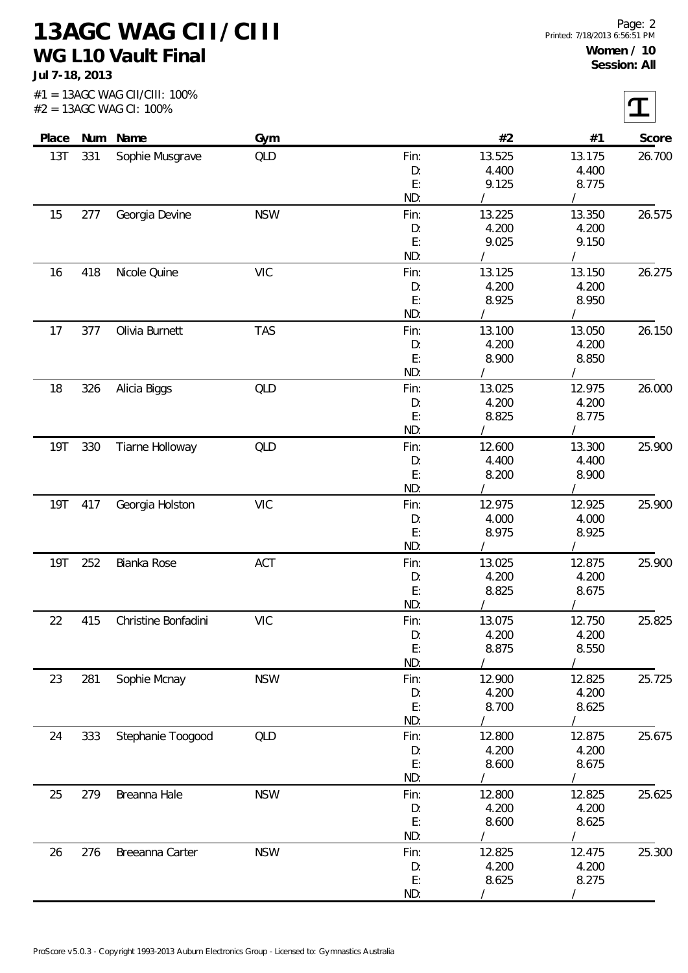**13AGC WAG CII/CIII WG L10 Vault Final**

**Jul 7-18, 2013**

| Place<br>13T |     | Num Name            | Gym        | Fin:       | #2                  | #1              | Score<br>26.700 |
|--------------|-----|---------------------|------------|------------|---------------------|-----------------|-----------------|
|              | 331 | Sophie Musgrave     | <b>QLD</b> | D:         | 13.525<br>4.400     | 13.175<br>4.400 |                 |
|              |     |                     |            | E:         | 9.125               | 8.775           |                 |
|              |     |                     |            | ND:        |                     |                 |                 |
| 15           | 277 | Georgia Devine      | <b>NSW</b> | Fin:       | 13.225              | 13.350          | 26.575          |
|              |     |                     |            | D:         | 4.200               | 4.200           |                 |
|              |     |                     |            | E:         | 9.025               | 9.150           |                 |
|              |     |                     |            | ND:        |                     |                 |                 |
| 16           | 418 | Nicole Quine        | <b>VIC</b> | Fin:       | 13.125              | 13.150          | 26.275          |
|              |     |                     |            | D:         | 4.200               | 4.200           |                 |
|              |     |                     |            | E:         | 8.925               | 8.950           |                 |
|              |     |                     |            | ND:        |                     |                 |                 |
| 17           | 377 | Olivia Burnett      | <b>TAS</b> | Fin:       | 13.100              | 13.050          | 26.150          |
|              |     |                     |            | D:         | 4.200               | 4.200           |                 |
|              |     |                     |            | E:         | 8.900               | 8.850           |                 |
|              |     |                     |            | ND:        |                     |                 |                 |
| 18           | 326 | Alicia Biggs        | QLD        | Fin:       | 13.025              | 12.975          | 26.000          |
|              |     |                     |            | D:         | 4.200               | 4.200           |                 |
|              |     |                     |            | E:         | 8.825               | 8.775           |                 |
|              |     |                     |            | ND:        |                     |                 |                 |
| <b>19T</b>   | 330 | Tiarne Holloway     | QLD        | Fin:       | 12.600              | 13.300          | 25.900          |
|              |     |                     |            | D:         | 4.400               | 4.400           |                 |
|              |     |                     |            | E:         | 8.200               | 8.900           |                 |
|              |     |                     |            | ND:        |                     |                 |                 |
| 19T          | 417 | Georgia Holston     | <b>VIC</b> | Fin:       | 12.975              | 12.925          | 25.900          |
|              |     |                     |            | D:         | 4.000               | 4.000           |                 |
|              |     |                     |            | E:         | 8.975               | 8.925           |                 |
|              |     |                     |            | ND:        |                     |                 |                 |
| 19T          | 252 | Bianka Rose         | ACT        | Fin:       | 13.025              | 12.875          | 25.900          |
|              |     |                     |            | D:         | 4.200               | 4.200           |                 |
|              |     |                     |            | E:<br>ND:  | 8.825<br>$\sqrt{2}$ | 8.675           |                 |
|              |     |                     |            |            |                     |                 |                 |
| 22           | 415 | Christine Bonfadini | <b>VIC</b> | Fin:<br>D: | 13.075<br>4.200     | 12.750<br>4.200 | 25.825          |
|              |     |                     |            | E:         | 8.875               | 8.550           |                 |
|              |     |                     |            | ND:        |                     |                 |                 |
| 23           | 281 | Sophie Mcnay        | <b>NSW</b> | Fin:       | 12.900              | 12.825          | 25.725          |
|              |     |                     |            | D:         | 4.200               | 4.200           |                 |
|              |     |                     |            | E:         | 8.700               | 8.625           |                 |
|              |     |                     |            | ND:        |                     |                 |                 |
| 24           | 333 | Stephanie Toogood   | QLD        | Fin:       | 12.800              | 12.875          | 25.675          |
|              |     |                     |            | D:         | 4.200               | 4.200           |                 |
|              |     |                     |            | E:         | 8.600               | 8.675           |                 |
|              |     |                     |            | ND:        |                     |                 |                 |
| 25           | 279 | Breanna Hale        | <b>NSW</b> | Fin:       | 12.800              | 12.825          | 25.625          |
|              |     |                     |            | D:         | 4.200               | 4.200           |                 |
|              |     |                     |            | E:         | 8.600               | 8.625           |                 |
|              |     |                     |            | ND:        |                     |                 |                 |
| 26           | 276 | Breeanna Carter     | <b>NSW</b> | Fin:       | 12.825              | 12.475          | 25.300          |
|              |     |                     |            | D:         | 4.200               | 4.200           |                 |
|              |     |                     |            | E:         | 8.625               | 8.275           |                 |
|              |     |                     |            | ND:        |                     |                 |                 |